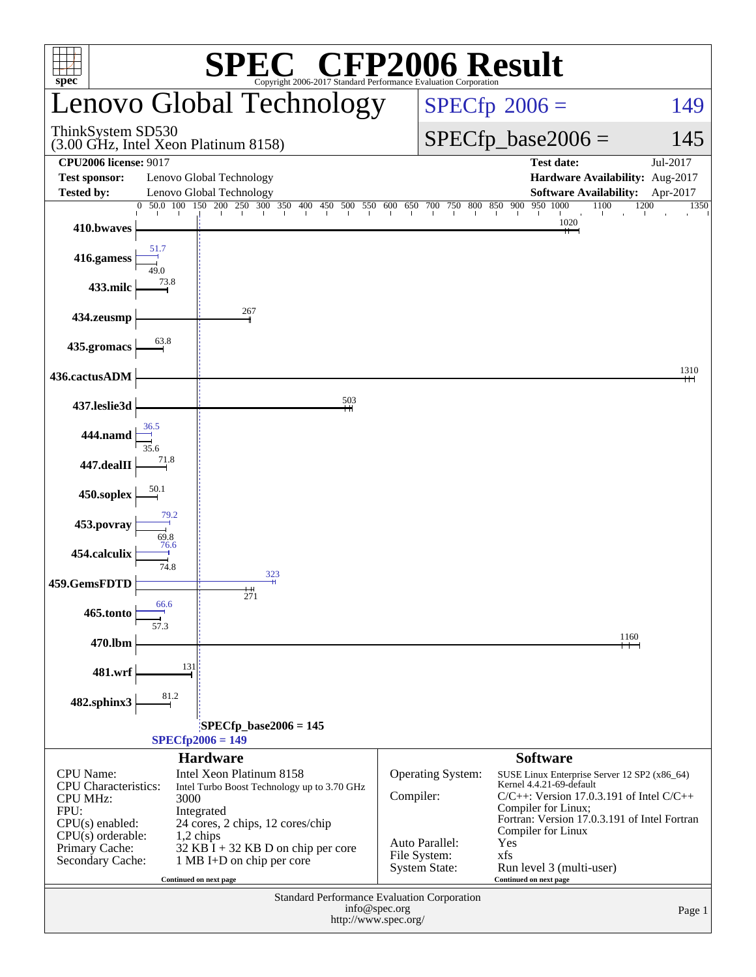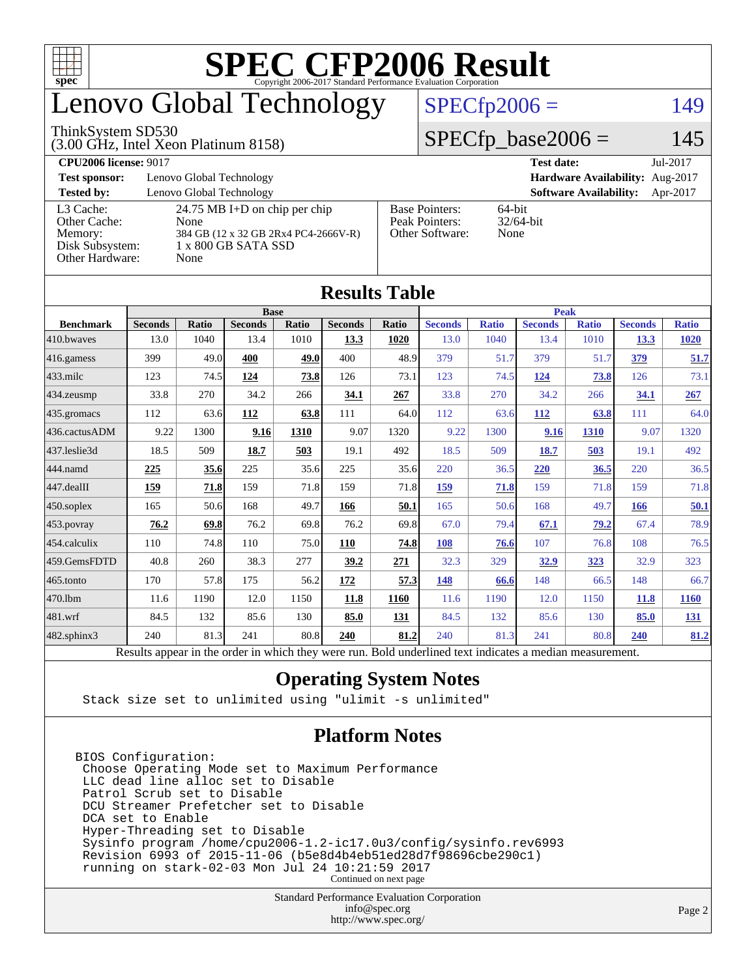

### enovo Global Technology

#### ThinkSystem SD530

(3.00 GHz, Intel Xeon Platinum 8158)

 $SPECfp2006 = 149$  $SPECfp2006 = 149$ 

#### $SPECfp\_base2006 = 145$

| <b>CPU2006 license: 9017</b>                                               |                                                                                                                     |                                                            | <b>Test date:</b><br>Jul-2017             |
|----------------------------------------------------------------------------|---------------------------------------------------------------------------------------------------------------------|------------------------------------------------------------|-------------------------------------------|
| <b>Test sponsor:</b>                                                       | Lenovo Global Technology                                                                                            | Hardware Availability: Aug-2017                            |                                           |
| <b>Tested by:</b>                                                          | Lenovo Global Technology                                                                                            |                                                            | <b>Software Availability:</b><br>Apr-2017 |
| L3 Cache:<br>Other Cache:<br>Memory:<br>Disk Subsystem:<br>Other Hardware: | 24.75 MB I+D on chip per chip<br>None<br>384 GB (12 x 32 GB 2Rx4 PC4-2666V-R)<br>$1 \times 800$ GB SATA SSD<br>None | <b>Base Pointers:</b><br>Peak Pointers:<br>Other Software: | 64-bit<br>$32/64$ -bit<br>None            |

**[Results Table](http://www.spec.org/auto/cpu2006/Docs/result-fields.html#ResultsTable)**

| Results Tadie          |                                                                                                          |              |                |       |                |       |                |              |                |              |                |              |
|------------------------|----------------------------------------------------------------------------------------------------------|--------------|----------------|-------|----------------|-------|----------------|--------------|----------------|--------------|----------------|--------------|
|                        | <b>Base</b>                                                                                              |              |                |       |                |       | <b>Peak</b>    |              |                |              |                |              |
| <b>Benchmark</b>       | <b>Seconds</b>                                                                                           | <b>Ratio</b> | <b>Seconds</b> | Ratio | <b>Seconds</b> | Ratio | <b>Seconds</b> | <b>Ratio</b> | <b>Seconds</b> | <b>Ratio</b> | <b>Seconds</b> | <b>Ratio</b> |
| 410.bwaves             | 13.0                                                                                                     | 1040         | 13.4           | 1010  | 13.3           | 1020  | 13.0           | 1040         | 13.4           | 1010         | <u>13.3</u>    | <b>1020</b>  |
| $ 416$ .gamess         | 399                                                                                                      | 49.0         | 400            | 49.0  | 400            | 48.9  | 379            | 51.7         | 379            | 51.7         | 379            | 51.7         |
| $433$ .milc            | 123                                                                                                      | 74.5         | 124            | 73.8  | 126            | 73.1  | 123            | 74.5         | 124            | 73.8         | 126            | 73.1         |
| 434.zeusmp             | 33.8                                                                                                     | 270          | 34.2           | 266   | 34.1           | 267   | 33.8           | 270          | 34.2           | 266          | 34.1           | 267          |
| $435.$ gromacs         | 112                                                                                                      | 63.6         | 112            | 63.8  | 111            | 64.0  | 112            | 63.6         | 112            | 63.8         | 111            | 64.0         |
| 436.cactusADM          | 9.22                                                                                                     | 1300         | 9.16           | 1310  | 9.07           | 1320  | 9.22           | 1300         | 9.16           | 1310         | 9.07           | 1320         |
| 437.leslie3d           | 18.5                                                                                                     | 509          | 18.7           | 503   | 19.1           | 492   | 18.5           | 509          | 18.7           | 503          | 19.1           | 492          |
| 444.namd               | 225                                                                                                      | 35.6         | 225            | 35.6  | 225            | 35.6  | 220            | 36.5         | 220            | 36.5         | 220            | 36.5         |
| $ 447 \text{.}$ dealII | 159                                                                                                      | 71.8         | 159            | 71.8  | 159            | 71.8  | 159            | 71.8         | 159            | 71.8         | 159            | 71.8         |
| $450$ .soplex          | 165                                                                                                      | 50.6         | 168            | 49.7  | 166            | 50.1  | 165            | 50.6         | 168            | 49.7         | 166            | 50.1         |
| $453$ .povray          | 76.2                                                                                                     | 69.8         | 76.2           | 69.8  | 76.2           | 69.8  | 67.0           | 79.4         | 67.1           | 79.2         | 67.4           | 78.9         |
| $ 454$ .calculix       | 110                                                                                                      | 74.8         | 110            | 75.0  | 110            | 74.8  | 108            | 76.6         | 107            | 76.8         | 108            | 76.5         |
| 459.GemsFDTD           | 40.8                                                                                                     | 260          | 38.3           | 277   | 39.2           | 271   | 32.3           | 329          | 32.9           | 323          | 32.9           | 323          |
| $465$ .tonto           | 170                                                                                                      | 57.8         | 175            | 56.2  | 172            | 57.3  | 148            | 66.6         | 148            | 66.5         | 148            | 66.7         |
| 470.1bm                | 11.6                                                                                                     | 1190         | 12.0           | 1150  | 11.8           | 1160  | 11.6           | 1190         | 12.0           | 1150         | 11.8           | <b>1160</b>  |
| $ 481$ .wrf            | 84.5                                                                                                     | 132          | 85.6           | 130   | 85.0           | 131   | 84.5           | 132          | 85.6           | 130          | 85.0           | <u>131</u>   |
| $482$ .sphinx $3$      | 240                                                                                                      | 81.3         | 241            | 80.8  | 240            | 81.2  | 240            | 81.3         | 241            | 80.8         | 240            | 81.2         |
|                        | Results appear in the order in which they were run. Bold underlined text indicates a median measurement. |              |                |       |                |       |                |              |                |              |                |              |

#### **[Operating System Notes](http://www.spec.org/auto/cpu2006/Docs/result-fields.html#OperatingSystemNotes)**

Stack size set to unlimited using "ulimit -s unlimited"

#### **[Platform Notes](http://www.spec.org/auto/cpu2006/Docs/result-fields.html#PlatformNotes)**

BIOS Configuration: Choose Operating Mode set to Maximum Performance LLC dead line alloc set to Disable Patrol Scrub set to Disable DCU Streamer Prefetcher set to Disable DCA set to Enable Hyper-Threading set to Disable Sysinfo program /home/cpu2006-1.2-ic17.0u3/config/sysinfo.rev6993 Revision 6993 of 2015-11-06 (b5e8d4b4eb51ed28d7f98696cbe290c1) running on stark-02-03 Mon Jul 24 10:21:59 2017 Continued on next page

> Standard Performance Evaluation Corporation [info@spec.org](mailto:info@spec.org) <http://www.spec.org/>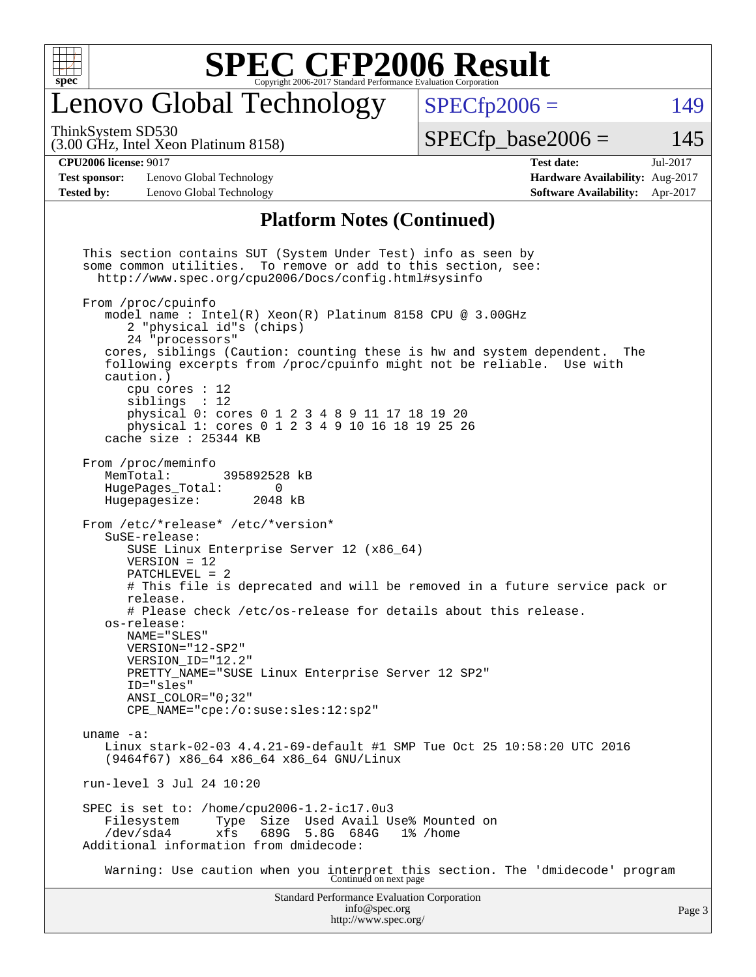

### enovo Global Technology

ThinkSystem SD530

 $SPECTp2006 = 149$ 

(3.00 GHz, Intel Xeon Platinum 8158)

 $SPECTp\_base2006 = 145$ 

**[Test sponsor:](http://www.spec.org/auto/cpu2006/Docs/result-fields.html#Testsponsor)** Lenovo Global Technology **[Hardware Availability:](http://www.spec.org/auto/cpu2006/Docs/result-fields.html#HardwareAvailability)** Aug-2017 **[Tested by:](http://www.spec.org/auto/cpu2006/Docs/result-fields.html#Testedby)** Lenovo Global Technology **[Software Availability:](http://www.spec.org/auto/cpu2006/Docs/result-fields.html#SoftwareAvailability)** Apr-2017

## **[CPU2006 license:](http://www.spec.org/auto/cpu2006/Docs/result-fields.html#CPU2006license)** 9017 **[Test date:](http://www.spec.org/auto/cpu2006/Docs/result-fields.html#Testdate)** Jul-2017

#### **[Platform Notes \(Continued\)](http://www.spec.org/auto/cpu2006/Docs/result-fields.html#PlatformNotes)**

Standard Performance Evaluation Corporation [info@spec.org](mailto:info@spec.org) This section contains SUT (System Under Test) info as seen by some common utilities. To remove or add to this section, see: <http://www.spec.org/cpu2006/Docs/config.html#sysinfo> From /proc/cpuinfo model name : Intel(R) Xeon(R) Platinum 8158 CPU @ 3.00GHz 2 "physical id"s (chips) 24 "processors" cores, siblings (Caution: counting these is hw and system dependent. The following excerpts from /proc/cpuinfo might not be reliable. Use with caution.) cpu cores : 12 siblings : 12 physical 0: cores 0 1 2 3 4 8 9 11 17 18 19 20 physical 1: cores 0 1 2 3 4 9 10 16 18 19 25 26 cache size : 25344 KB From /proc/meminfo<br>MemTotal: 395892528 kB HugePages\_Total: 0 Hugepagesize: 2048 kB From /etc/\*release\* /etc/\*version\* SuSE-release: SUSE Linux Enterprise Server 12 (x86\_64) VERSION = 12 PATCHLEVEL = 2 # This file is deprecated and will be removed in a future service pack or release. # Please check /etc/os-release for details about this release. os-release: NAME="SLES" VERSION="12-SP2" VERSION\_ID="12.2" PRETTY\_NAME="SUSE Linux Enterprise Server 12 SP2" ID="sles" ANSI\_COLOR="0;32" CPE\_NAME="cpe:/o:suse:sles:12:sp2" uname -a: Linux stark-02-03 4.4.21-69-default #1 SMP Tue Oct 25 10:58:20 UTC 2016 (9464f67) x86\_64 x86\_64 x86\_64 GNU/Linux run-level 3 Jul 24 10:20 SPEC is set to: /home/cpu2006-1.2-ic17.0u3 Filesystem Type Size Used Avail Use% Mounted on /dev/sda4 xfs 689G 5.8G 684G 1% /home Additional information from dmidecode: Warning: Use caution when you interpret this section. The 'dmidecode' program Continued on next page

<http://www.spec.org/>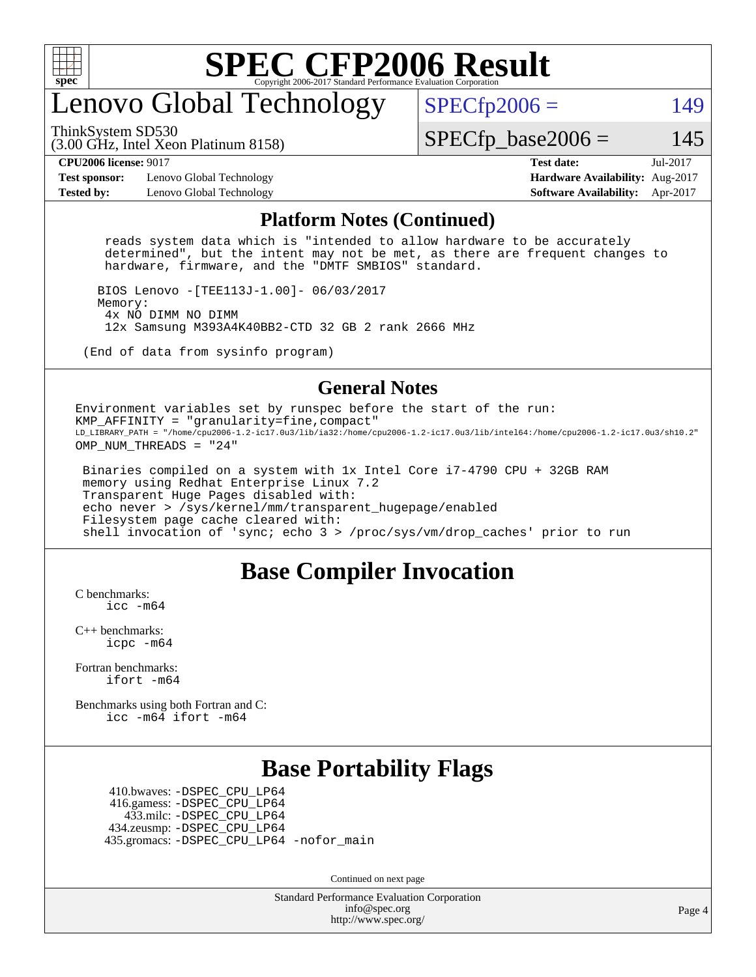

### enovo Global Technology

ThinkSystem SD530

 $SPECTp2006 = 149$ 

(3.00 GHz, Intel Xeon Platinum 8158)

 $SPECTp\_base2006 = 145$ 

**[Test sponsor:](http://www.spec.org/auto/cpu2006/Docs/result-fields.html#Testsponsor)** Lenovo Global Technology **[Hardware Availability:](http://www.spec.org/auto/cpu2006/Docs/result-fields.html#HardwareAvailability)** Aug-2017 **[Tested by:](http://www.spec.org/auto/cpu2006/Docs/result-fields.html#Testedby)** Lenovo Global Technology **[Software Availability:](http://www.spec.org/auto/cpu2006/Docs/result-fields.html#SoftwareAvailability)** Apr-2017

**[CPU2006 license:](http://www.spec.org/auto/cpu2006/Docs/result-fields.html#CPU2006license)** 9017 **[Test date:](http://www.spec.org/auto/cpu2006/Docs/result-fields.html#Testdate)** Jul-2017

#### **[Platform Notes \(Continued\)](http://www.spec.org/auto/cpu2006/Docs/result-fields.html#PlatformNotes)**

 reads system data which is "intended to allow hardware to be accurately determined", but the intent may not be met, as there are frequent changes to hardware, firmware, and the "DMTF SMBIOS" standard.

 BIOS Lenovo -[TEE113J-1.00]- 06/03/2017 Memory: 4x NO DIMM NO DIMM 12x Samsung M393A4K40BB2-CTD 32 GB 2 rank 2666 MHz

(End of data from sysinfo program)

#### **[General Notes](http://www.spec.org/auto/cpu2006/Docs/result-fields.html#GeneralNotes)**

Environment variables set by runspec before the start of the run: KMP\_AFFINITY = "granularity=fine,compact" LD\_LIBRARY\_PATH = "/home/cpu2006-1.2-ic17.0u3/lib/ia32:/home/cpu2006-1.2-ic17.0u3/lib/intel64:/home/cpu2006-1.2-ic17.0u3/sh10.2" OMP NUM THREADS = "24"

 Binaries compiled on a system with 1x Intel Core i7-4790 CPU + 32GB RAM memory using Redhat Enterprise Linux 7.2 Transparent Huge Pages disabled with: echo never > /sys/kernel/mm/transparent\_hugepage/enabled Filesystem page cache cleared with: shell invocation of 'sync; echo 3 > /proc/sys/vm/drop\_caches' prior to run

#### **[Base Compiler Invocation](http://www.spec.org/auto/cpu2006/Docs/result-fields.html#BaseCompilerInvocation)**

[C benchmarks](http://www.spec.org/auto/cpu2006/Docs/result-fields.html#Cbenchmarks): [icc -m64](http://www.spec.org/cpu2006/results/res2017q4/cpu2006-20170918-49683.flags.html#user_CCbase_intel_icc_64bit_bda6cc9af1fdbb0edc3795bac97ada53)

[C++ benchmarks:](http://www.spec.org/auto/cpu2006/Docs/result-fields.html#CXXbenchmarks) [icpc -m64](http://www.spec.org/cpu2006/results/res2017q4/cpu2006-20170918-49683.flags.html#user_CXXbase_intel_icpc_64bit_fc66a5337ce925472a5c54ad6a0de310)

[Fortran benchmarks](http://www.spec.org/auto/cpu2006/Docs/result-fields.html#Fortranbenchmarks): [ifort -m64](http://www.spec.org/cpu2006/results/res2017q4/cpu2006-20170918-49683.flags.html#user_FCbase_intel_ifort_64bit_ee9d0fb25645d0210d97eb0527dcc06e)

[Benchmarks using both Fortran and C](http://www.spec.org/auto/cpu2006/Docs/result-fields.html#BenchmarksusingbothFortranandC): [icc -m64](http://www.spec.org/cpu2006/results/res2017q4/cpu2006-20170918-49683.flags.html#user_CC_FCbase_intel_icc_64bit_bda6cc9af1fdbb0edc3795bac97ada53) [ifort -m64](http://www.spec.org/cpu2006/results/res2017q4/cpu2006-20170918-49683.flags.html#user_CC_FCbase_intel_ifort_64bit_ee9d0fb25645d0210d97eb0527dcc06e)

#### **[Base Portability Flags](http://www.spec.org/auto/cpu2006/Docs/result-fields.html#BasePortabilityFlags)**

 410.bwaves: [-DSPEC\\_CPU\\_LP64](http://www.spec.org/cpu2006/results/res2017q4/cpu2006-20170918-49683.flags.html#suite_basePORTABILITY410_bwaves_DSPEC_CPU_LP64) 416.gamess: [-DSPEC\\_CPU\\_LP64](http://www.spec.org/cpu2006/results/res2017q4/cpu2006-20170918-49683.flags.html#suite_basePORTABILITY416_gamess_DSPEC_CPU_LP64) 433.milc: [-DSPEC\\_CPU\\_LP64](http://www.spec.org/cpu2006/results/res2017q4/cpu2006-20170918-49683.flags.html#suite_basePORTABILITY433_milc_DSPEC_CPU_LP64) 434.zeusmp: [-DSPEC\\_CPU\\_LP64](http://www.spec.org/cpu2006/results/res2017q4/cpu2006-20170918-49683.flags.html#suite_basePORTABILITY434_zeusmp_DSPEC_CPU_LP64) 435.gromacs: [-DSPEC\\_CPU\\_LP64](http://www.spec.org/cpu2006/results/res2017q4/cpu2006-20170918-49683.flags.html#suite_basePORTABILITY435_gromacs_DSPEC_CPU_LP64) [-nofor\\_main](http://www.spec.org/cpu2006/results/res2017q4/cpu2006-20170918-49683.flags.html#user_baseLDPORTABILITY435_gromacs_f-nofor_main)

Continued on next page

Standard Performance Evaluation Corporation [info@spec.org](mailto:info@spec.org) <http://www.spec.org/>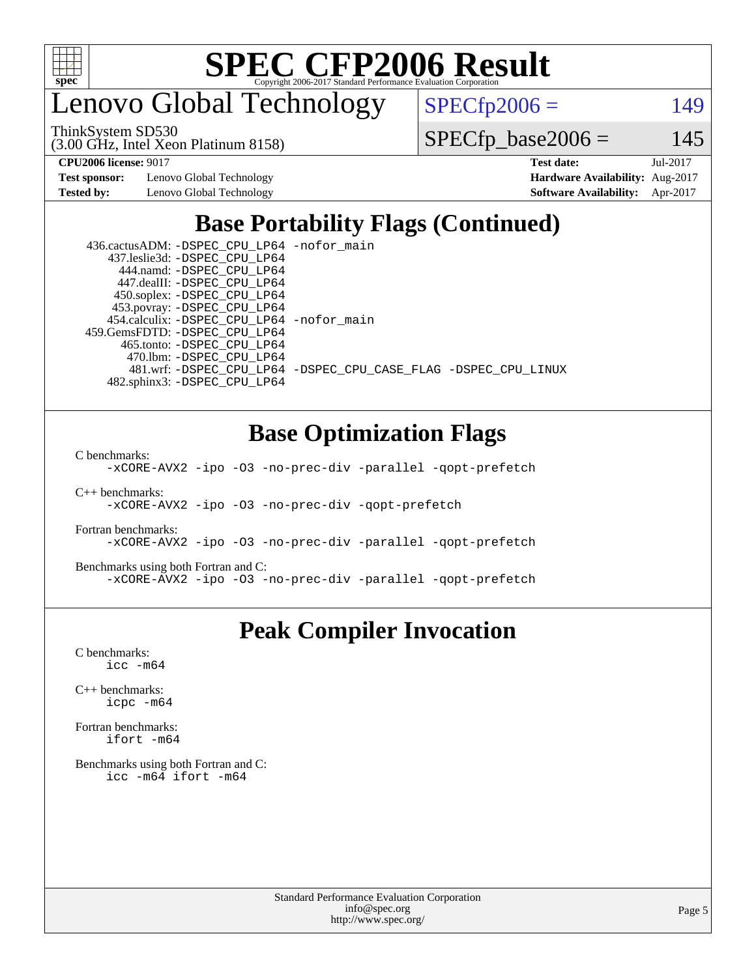

enovo Global Technology

ThinkSystem SD530

 $SPECfp2006 = 149$  $SPECfp2006 = 149$ 

(3.00 GHz, Intel Xeon Platinum 8158)

 $SPECfp\_base2006 = 145$ 

**[Test sponsor:](http://www.spec.org/auto/cpu2006/Docs/result-fields.html#Testsponsor)** Lenovo Global Technology **[Hardware Availability:](http://www.spec.org/auto/cpu2006/Docs/result-fields.html#HardwareAvailability)** Aug-2017

**[CPU2006 license:](http://www.spec.org/auto/cpu2006/Docs/result-fields.html#CPU2006license)** 9017 **[Test date:](http://www.spec.org/auto/cpu2006/Docs/result-fields.html#Testdate)** Jul-2017 **[Tested by:](http://www.spec.org/auto/cpu2006/Docs/result-fields.html#Testedby)** Lenovo Global Technology **[Software Availability:](http://www.spec.org/auto/cpu2006/Docs/result-fields.html#SoftwareAvailability)** Apr-2017

### **[Base Portability Flags \(Continued\)](http://www.spec.org/auto/cpu2006/Docs/result-fields.html#BasePortabilityFlags)**

| 436.cactusADM: - DSPEC CPU LP64 - nofor main |                                                                |
|----------------------------------------------|----------------------------------------------------------------|
| 437.leslie3d: -DSPEC CPU LP64                |                                                                |
| 444.namd: - DSPEC_CPU_LP64                   |                                                                |
| 447.dealII: -DSPEC CPU LP64                  |                                                                |
| 450.soplex: -DSPEC_CPU_LP64                  |                                                                |
| 453.povray: -DSPEC_CPU_LP64                  |                                                                |
| 454.calculix: - DSPEC CPU LP64 - nofor main  |                                                                |
| 459.GemsFDTD: - DSPEC_CPU_LP64               |                                                                |
| 465.tonto: -DSPEC CPU LP64                   |                                                                |
| 470.1bm: - DSPEC CPU LP64                    |                                                                |
|                                              | 481.wrf: -DSPEC CPU_LP64 -DSPEC_CPU_CASE_FLAG -DSPEC_CPU_LINUX |
| 482.sphinx3: -DSPEC CPU LP64                 |                                                                |

#### **[Base Optimization Flags](http://www.spec.org/auto/cpu2006/Docs/result-fields.html#BaseOptimizationFlags)**

[C benchmarks](http://www.spec.org/auto/cpu2006/Docs/result-fields.html#Cbenchmarks):

[-xCORE-AVX2](http://www.spec.org/cpu2006/results/res2017q4/cpu2006-20170918-49683.flags.html#user_CCbase_f-xCORE-AVX2) [-ipo](http://www.spec.org/cpu2006/results/res2017q4/cpu2006-20170918-49683.flags.html#user_CCbase_f-ipo) [-O3](http://www.spec.org/cpu2006/results/res2017q4/cpu2006-20170918-49683.flags.html#user_CCbase_f-O3) [-no-prec-div](http://www.spec.org/cpu2006/results/res2017q4/cpu2006-20170918-49683.flags.html#user_CCbase_f-no-prec-div) [-parallel](http://www.spec.org/cpu2006/results/res2017q4/cpu2006-20170918-49683.flags.html#user_CCbase_f-parallel) [-qopt-prefetch](http://www.spec.org/cpu2006/results/res2017q4/cpu2006-20170918-49683.flags.html#user_CCbase_f-qopt-prefetch)

[C++ benchmarks:](http://www.spec.org/auto/cpu2006/Docs/result-fields.html#CXXbenchmarks) [-xCORE-AVX2](http://www.spec.org/cpu2006/results/res2017q4/cpu2006-20170918-49683.flags.html#user_CXXbase_f-xCORE-AVX2) [-ipo](http://www.spec.org/cpu2006/results/res2017q4/cpu2006-20170918-49683.flags.html#user_CXXbase_f-ipo) [-O3](http://www.spec.org/cpu2006/results/res2017q4/cpu2006-20170918-49683.flags.html#user_CXXbase_f-O3) [-no-prec-div](http://www.spec.org/cpu2006/results/res2017q4/cpu2006-20170918-49683.flags.html#user_CXXbase_f-no-prec-div) [-qopt-prefetch](http://www.spec.org/cpu2006/results/res2017q4/cpu2006-20170918-49683.flags.html#user_CXXbase_f-qopt-prefetch)

[Fortran benchmarks](http://www.spec.org/auto/cpu2006/Docs/result-fields.html#Fortranbenchmarks): [-xCORE-AVX2](http://www.spec.org/cpu2006/results/res2017q4/cpu2006-20170918-49683.flags.html#user_FCbase_f-xCORE-AVX2) [-ipo](http://www.spec.org/cpu2006/results/res2017q4/cpu2006-20170918-49683.flags.html#user_FCbase_f-ipo) [-O3](http://www.spec.org/cpu2006/results/res2017q4/cpu2006-20170918-49683.flags.html#user_FCbase_f-O3) [-no-prec-div](http://www.spec.org/cpu2006/results/res2017q4/cpu2006-20170918-49683.flags.html#user_FCbase_f-no-prec-div) [-parallel](http://www.spec.org/cpu2006/results/res2017q4/cpu2006-20170918-49683.flags.html#user_FCbase_f-parallel) [-qopt-prefetch](http://www.spec.org/cpu2006/results/res2017q4/cpu2006-20170918-49683.flags.html#user_FCbase_f-qopt-prefetch)

[Benchmarks using both Fortran and C](http://www.spec.org/auto/cpu2006/Docs/result-fields.html#BenchmarksusingbothFortranandC): [-xCORE-AVX2](http://www.spec.org/cpu2006/results/res2017q4/cpu2006-20170918-49683.flags.html#user_CC_FCbase_f-xCORE-AVX2) [-ipo](http://www.spec.org/cpu2006/results/res2017q4/cpu2006-20170918-49683.flags.html#user_CC_FCbase_f-ipo) [-O3](http://www.spec.org/cpu2006/results/res2017q4/cpu2006-20170918-49683.flags.html#user_CC_FCbase_f-O3) [-no-prec-div](http://www.spec.org/cpu2006/results/res2017q4/cpu2006-20170918-49683.flags.html#user_CC_FCbase_f-no-prec-div) [-parallel](http://www.spec.org/cpu2006/results/res2017q4/cpu2006-20170918-49683.flags.html#user_CC_FCbase_f-parallel) [-qopt-prefetch](http://www.spec.org/cpu2006/results/res2017q4/cpu2006-20170918-49683.flags.html#user_CC_FCbase_f-qopt-prefetch)

#### **[Peak Compiler Invocation](http://www.spec.org/auto/cpu2006/Docs/result-fields.html#PeakCompilerInvocation)**

[C benchmarks](http://www.spec.org/auto/cpu2006/Docs/result-fields.html#Cbenchmarks): [icc -m64](http://www.spec.org/cpu2006/results/res2017q4/cpu2006-20170918-49683.flags.html#user_CCpeak_intel_icc_64bit_bda6cc9af1fdbb0edc3795bac97ada53)

[C++ benchmarks:](http://www.spec.org/auto/cpu2006/Docs/result-fields.html#CXXbenchmarks) [icpc -m64](http://www.spec.org/cpu2006/results/res2017q4/cpu2006-20170918-49683.flags.html#user_CXXpeak_intel_icpc_64bit_fc66a5337ce925472a5c54ad6a0de310)

[Fortran benchmarks](http://www.spec.org/auto/cpu2006/Docs/result-fields.html#Fortranbenchmarks): [ifort -m64](http://www.spec.org/cpu2006/results/res2017q4/cpu2006-20170918-49683.flags.html#user_FCpeak_intel_ifort_64bit_ee9d0fb25645d0210d97eb0527dcc06e)

[Benchmarks using both Fortran and C](http://www.spec.org/auto/cpu2006/Docs/result-fields.html#BenchmarksusingbothFortranandC): [icc -m64](http://www.spec.org/cpu2006/results/res2017q4/cpu2006-20170918-49683.flags.html#user_CC_FCpeak_intel_icc_64bit_bda6cc9af1fdbb0edc3795bac97ada53) [ifort -m64](http://www.spec.org/cpu2006/results/res2017q4/cpu2006-20170918-49683.flags.html#user_CC_FCpeak_intel_ifort_64bit_ee9d0fb25645d0210d97eb0527dcc06e)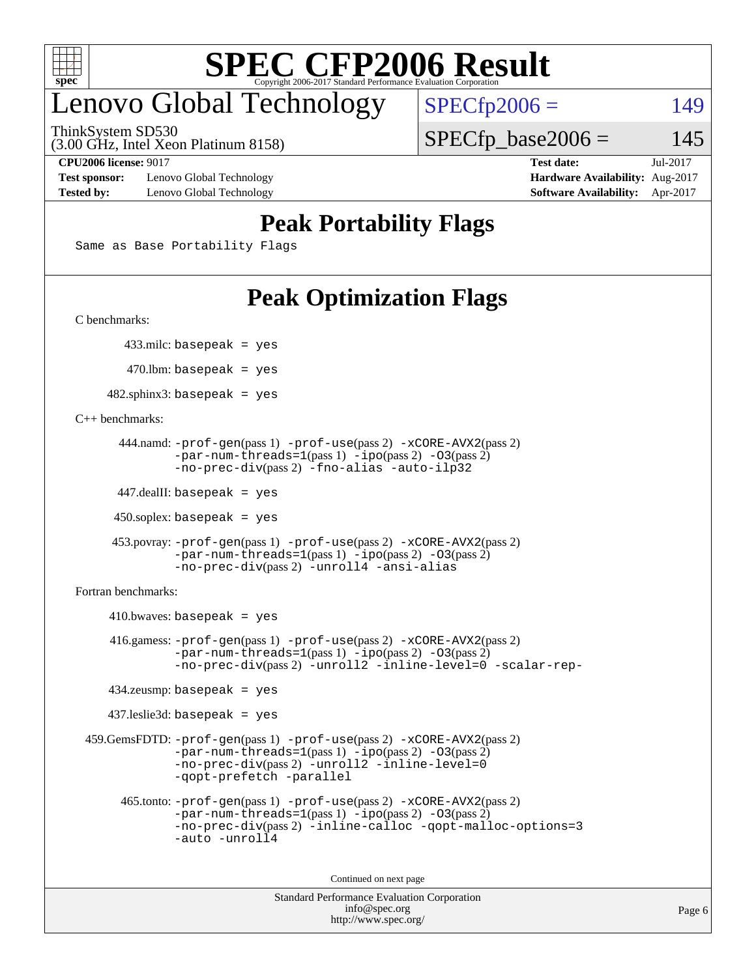

### enovo Global Technology

ThinkSystem SD530

 $SPECTp2006 = 149$ 

(3.00 GHz, Intel Xeon Platinum 8158)

**[Test sponsor:](http://www.spec.org/auto/cpu2006/Docs/result-fields.html#Testsponsor)** Lenovo Global Technology **[Hardware Availability:](http://www.spec.org/auto/cpu2006/Docs/result-fields.html#HardwareAvailability)** Aug-2017 **[Tested by:](http://www.spec.org/auto/cpu2006/Docs/result-fields.html#Testedby)** Lenovo Global Technology **[Software Availability:](http://www.spec.org/auto/cpu2006/Docs/result-fields.html#SoftwareAvailability)** Apr-2017

**[CPU2006 license:](http://www.spec.org/auto/cpu2006/Docs/result-fields.html#CPU2006license)** 9017 **[Test date:](http://www.spec.org/auto/cpu2006/Docs/result-fields.html#Testdate)** Jul-2017

 $SPECTp\_base2006 = 145$ 

#### **[Peak Portability Flags](http://www.spec.org/auto/cpu2006/Docs/result-fields.html#PeakPortabilityFlags)**

Same as Base Portability Flags

### **[Peak Optimization Flags](http://www.spec.org/auto/cpu2006/Docs/result-fields.html#PeakOptimizationFlags)**

[C benchmarks](http://www.spec.org/auto/cpu2006/Docs/result-fields.html#Cbenchmarks):

433.milc: basepeak = yes

 $470.$ lbm: basepeak = yes

 $482$ .sphinx3: basepeak = yes

[C++ benchmarks:](http://www.spec.org/auto/cpu2006/Docs/result-fields.html#CXXbenchmarks)

```
 444.namd: -prof-gen(pass 1) -prof-use(pass 2) -xCORE-AVX2(pass 2)
       -par-num-threads=1(pass 1) -ipo(pass 2) -O3(pass 2)
       -no-prec-div(pass 2) -fno-alias -auto-ilp32
```
447.dealII: basepeak = yes

 $450$ .soplex: basepeak = yes

```
 453.povray: -prof-gen(pass 1) -prof-use(pass 2) -xCORE-AVX2(pass 2)
        -par-num-threads=1-ipo-O3(pass 2)-no-prec-div(pass 2) -unroll4 -ansi-alias
```
[Fortran benchmarks](http://www.spec.org/auto/cpu2006/Docs/result-fields.html#Fortranbenchmarks):

```
410.bwaves: basepeak = yes 416.gamess: -prof-gen(pass 1) -prof-use(pass 2) -xCORE-AVX2(pass 2)
           -par-num-threads=1-ipo-O3(pass 2)-no-prec-div(pass 2) -unroll2 -inline-level=0 -scalar-rep-
   434.zeusmp: basepeak = yes
   437.leslie3d: basepeak = yes
459.GemsFDTD: -prof-gen(pass 1) -prof-use(pass 2) -xCORE-AVX2(pass 2)
           -par-num-threads=1-ipo-O3(pass 2)-no-prec-div(pass 2) -unroll2 -inline-level=0
           -qopt-prefetch -parallel
     465.tonto: -prof-gen(pass 1) -prof-use(pass 2) -xCORE-AVX2(pass 2)
           -par-num-threads=1(pass 1) -ipo(pass 2) -O3(pass 2)
           -no-prec-div-inline-calloc-qopt-malloc-options=3
           -auto -unroll4
```
Continued on next page

```
Standard Performance Evaluation Corporation
            info@spec.org
          http://www.spec.org/
```